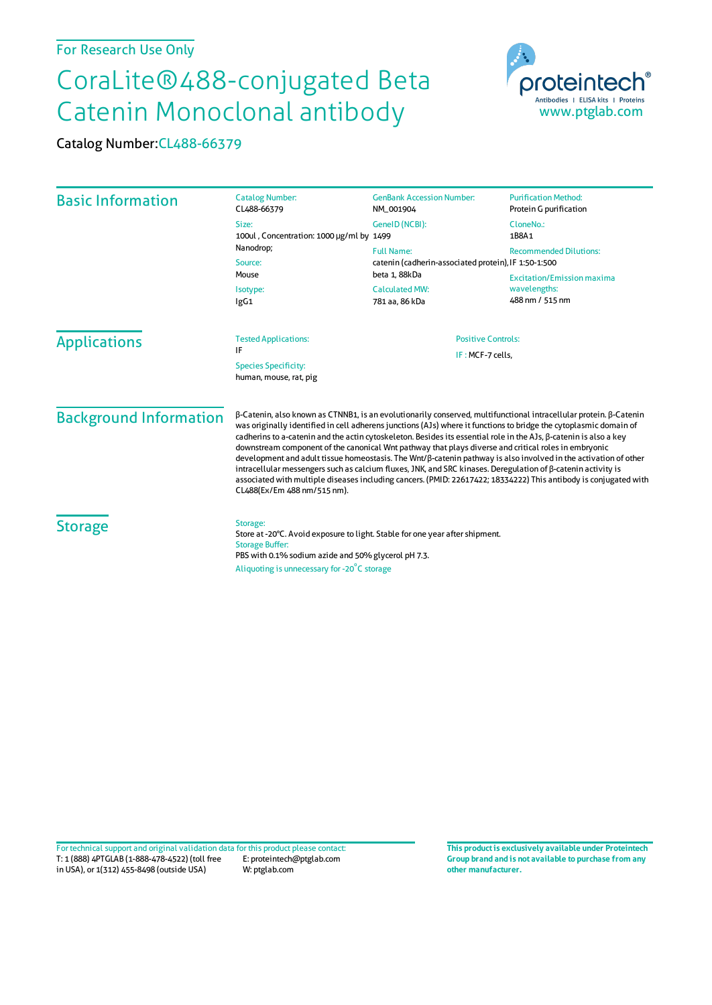## CoraLite®488-conjugated Beta Catenin Monoclonal antibody



Catalog Number:CL488-66379

| <b>Basic Information</b>                              | <b>Catalog Number:</b><br>CL488-66379                                                                                                                                                                                    | <b>GenBank Accession Number:</b><br>NM_001904                                                                    | <b>Purification Method:</b><br>Protein G purification                |                     |                                                                                                                                                                                                                                                                                                                                                                                                                                                                                                                                                                                                                                                                                                                                                                                                                                                           |                           |  |
|-------------------------------------------------------|--------------------------------------------------------------------------------------------------------------------------------------------------------------------------------------------------------------------------|------------------------------------------------------------------------------------------------------------------|----------------------------------------------------------------------|---------------------|-----------------------------------------------------------------------------------------------------------------------------------------------------------------------------------------------------------------------------------------------------------------------------------------------------------------------------------------------------------------------------------------------------------------------------------------------------------------------------------------------------------------------------------------------------------------------------------------------------------------------------------------------------------------------------------------------------------------------------------------------------------------------------------------------------------------------------------------------------------|---------------------------|--|
|                                                       | Size:<br>100ul, Concentration: 1000 µg/ml by 1499<br>Nanodrop;<br>Source:<br>Mouse<br>Isotype:<br>lgG1                                                                                                                   | GeneID (NCBI):                                                                                                   | CloneNo.:                                                            |                     |                                                                                                                                                                                                                                                                                                                                                                                                                                                                                                                                                                                                                                                                                                                                                                                                                                                           |                           |  |
|                                                       |                                                                                                                                                                                                                          |                                                                                                                  | 1B8A1                                                                |                     |                                                                                                                                                                                                                                                                                                                                                                                                                                                                                                                                                                                                                                                                                                                                                                                                                                                           |                           |  |
|                                                       |                                                                                                                                                                                                                          | <b>Full Name:</b>                                                                                                | <b>Recommended Dilutions:</b>                                        |                     |                                                                                                                                                                                                                                                                                                                                                                                                                                                                                                                                                                                                                                                                                                                                                                                                                                                           |                           |  |
|                                                       |                                                                                                                                                                                                                          | catenin (cadherin-associated protein), IF 1:50-1:500<br>beta 1, 88kDa<br><b>Calculated MW:</b><br>781 aa, 86 kDa |                                                                      |                     |                                                                                                                                                                                                                                                                                                                                                                                                                                                                                                                                                                                                                                                                                                                                                                                                                                                           |                           |  |
|                                                       |                                                                                                                                                                                                                          |                                                                                                                  | <b>Excitation/Emission maxima</b><br>wavelengths:<br>488 nm / 515 nm |                     |                                                                                                                                                                                                                                                                                                                                                                                                                                                                                                                                                                                                                                                                                                                                                                                                                                                           |                           |  |
|                                                       |                                                                                                                                                                                                                          |                                                                                                                  |                                                                      | <b>Applications</b> | <b>Tested Applications:</b>                                                                                                                                                                                                                                                                                                                                                                                                                                                                                                                                                                                                                                                                                                                                                                                                                               | <b>Positive Controls:</b> |  |
|                                                       |                                                                                                                                                                                                                          |                                                                                                                  |                                                                      |                     | IF<br>IF: MCF-7 cells,                                                                                                                                                                                                                                                                                                                                                                                                                                                                                                                                                                                                                                                                                                                                                                                                                                    |                           |  |
| <b>Species Specificity:</b><br>human, mouse, rat, pig |                                                                                                                                                                                                                          |                                                                                                                  |                                                                      |                     |                                                                                                                                                                                                                                                                                                                                                                                                                                                                                                                                                                                                                                                                                                                                                                                                                                                           |                           |  |
|                                                       |                                                                                                                                                                                                                          |                                                                                                                  | <b>Background Information</b>                                        |                     | β-Catenin, also known as CTNNB1, is an evolutionarily conserved, multifunctional intracellular protein. β-Catenin<br>was originally identified in cell adherens junctions (AJs) where it functions to bridge the cytoplasmic domain of<br>cadherins to a-catenin and the actin cytoskeleton. Besides its essential role in the AJs, B-catenin is also a key<br>downstream component of the canonical Wnt pathway that plays diverse and critical roles in embryonic<br>development and adult tissue homeostasis. The Wnt/ß-catenin pathway is also involved in the activation of other<br>intracellular messengers such as calcium fluxes, JNK, and SRC kinases. Deregulation of ß-catenin activity is<br>associated with multiple diseases including cancers. (PMID: 22617422; 18334222) This antibody is conjugated with<br>CL488(Ex/Em 488 nm/515 nm). |                           |  |
| <b>Storage</b>                                        | Storage:<br>Store at -20°C. Avoid exposure to light. Stable for one year after shipment.<br><b>Storage Buffer:</b><br>PBS with 0.1% sodium azide and 50% glycerol pH 7.3.<br>Aliquoting is unnecessary for -20°C storage |                                                                                                                  |                                                                      |                     |                                                                                                                                                                                                                                                                                                                                                                                                                                                                                                                                                                                                                                                                                                                                                                                                                                                           |                           |  |

T: 1 (888) 4PTGLAB (1-888-478-4522) (toll free in USA), or 1(312) 455-8498 (outside USA) E: proteintech@ptglab.com W: ptglab.com Fortechnical support and original validation data forthis product please contact: **This productis exclusively available under Proteintech**

**Group brand and is not available to purchase from any other manufacturer.**